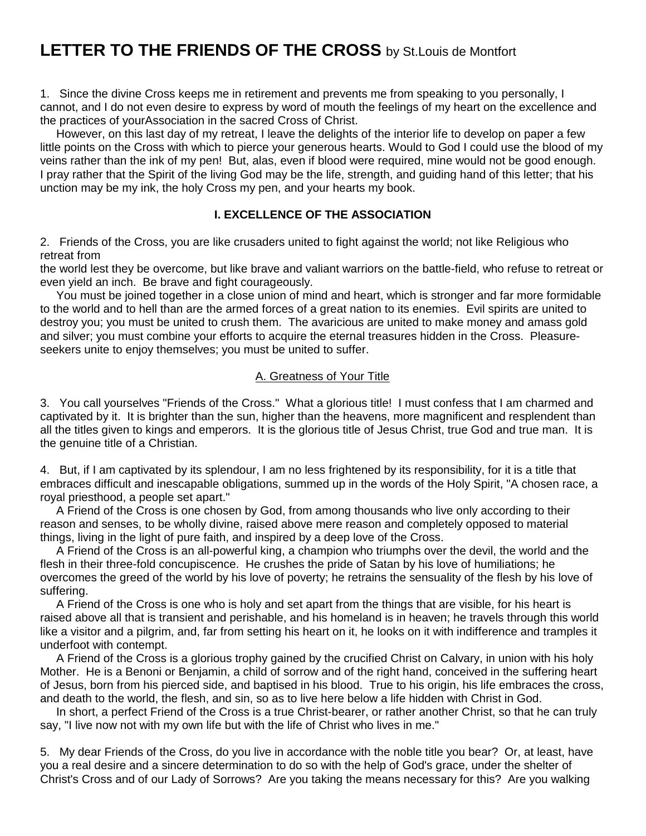# **LETTER TO THE FRIENDS OF THE CROSS** by St.Louis de Montfort

1. Since the divine Cross keeps me in retirement and prevents me from speaking to you personally, I cannot, and I do not even desire to express by word of mouth the feelings of my heart on the excellence and the practices of yourAssociation in the sacred Cross of Christ.

 However, on this last day of my retreat, I leave the delights of the interior life to develop on paper a few little points on the Cross with which to pierce your generous hearts. Would to God I could use the blood of my veins rather than the ink of my pen! But, alas, even if blood were required, mine would not be good enough. I pray rather that the Spirit of the living God may be the life, strength, and guiding hand of this letter; that his unction may be my ink, the holy Cross my pen, and your hearts my book.

# **I. EXCELLENCE OF THE ASSOCIATION**

2. Friends of the Cross, you are like crusaders united to fight against the world; not like Religious who retreat from

the world lest they be overcome, but like brave and valiant warriors on the battle-field, who refuse to retreat or even yield an inch. Be brave and fight courageously.

 You must be joined together in a close union of mind and heart, which is stronger and far more formidable to the world and to hell than are the armed forces of a great nation to its enemies. Evil spirits are united to destroy you; you must be united to crush them. The avaricious are united to make money and amass gold and silver; you must combine your efforts to acquire the eternal treasures hidden in the Cross. Pleasureseekers unite to enjoy themselves; you must be united to suffer.

## A. Greatness of Your Title

3. You call yourselves "Friends of the Cross." What a glorious title! I must confess that I am charmed and captivated by it. It is brighter than the sun, higher than the heavens, more magnificent and resplendent than all the titles given to kings and emperors. It is the glorious title of Jesus Christ, true God and true man. It is the genuine title of a Christian.

4. But, if I am captivated by its splendour, I am no less frightened by its responsibility, for it is a title that embraces difficult and inescapable obligations, summed up in the words of the Holy Spirit, "A chosen race, a royal priesthood, a people set apart."

 A Friend of the Cross is one chosen by God, from among thousands who live only according to their reason and senses, to be wholly divine, raised above mere reason and completely opposed to material things, living in the light of pure faith, and inspired by a deep love of the Cross.

 A Friend of the Cross is an all-powerful king, a champion who triumphs over the devil, the world and the flesh in their three-fold concupiscence. He crushes the pride of Satan by his love of humiliations; he overcomes the greed of the world by his love of poverty; he retrains the sensuality of the flesh by his love of suffering.

 A Friend of the Cross is one who is holy and set apart from the things that are visible, for his heart is raised above all that is transient and perishable, and his homeland is in heaven; he travels through this world like a visitor and a pilgrim, and, far from setting his heart on it, he looks on it with indifference and tramples it underfoot with contempt.

 A Friend of the Cross is a glorious trophy gained by the crucified Christ on Calvary, in union with his holy Mother. He is a Benoni or Benjamin, a child of sorrow and of the right hand, conceived in the suffering heart of Jesus, born from his pierced side, and baptised in his blood. True to his origin, his life embraces the cross, and death to the world, the flesh, and sin, so as to live here below a life hidden with Christ in God.

 In short, a perfect Friend of the Cross is a true Christ-bearer, or rather another Christ, so that he can truly say, "I live now not with my own life but with the life of Christ who lives in me."

5. My dear Friends of the Cross, do you live in accordance with the noble title you bear? Or, at least, have you a real desire and a sincere determination to do so with the help of God's grace, under the shelter of Christ's Cross and of our Lady of Sorrows? Are you taking the means necessary for this? Are you walking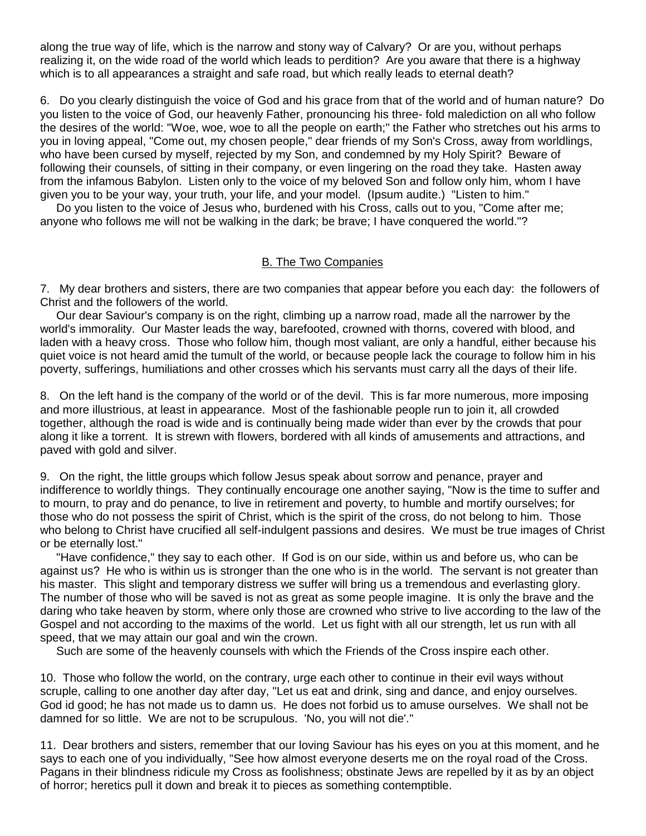along the true way of life, which is the narrow and stony way of Calvary? Or are you, without perhaps realizing it, on the wide road of the world which leads to perdition? Are you aware that there is a highway which is to all appearances a straight and safe road, but which really leads to eternal death?

6. Do you clearly distinguish the voice of God and his grace from that of the world and of human nature? Do you listen to the voice of God, our heavenly Father, pronouncing his three- fold malediction on all who follow the desires of the world: "Woe, woe, woe to all the people on earth;" the Father who stretches out his arms to you in loving appeal, "Come out, my chosen people," dear friends of my Son's Cross, away from worldlings, who have been cursed by myself, rejected by my Son, and condemned by my Holy Spirit? Beware of following their counsels, of sitting in their company, or even lingering on the road they take. Hasten away from the infamous Babylon. Listen only to the voice of my beloved Son and follow only him, whom I have given you to be your way, your truth, your life, and your model. (Ipsum audite.) "Listen to him."

 Do you listen to the voice of Jesus who, burdened with his Cross, calls out to you, "Come after me; anyone who follows me will not be walking in the dark; be brave; I have conquered the world."?

## B. The Two Companies

7. My dear brothers and sisters, there are two companies that appear before you each day: the followers of Christ and the followers of the world.

 Our dear Saviour's company is on the right, climbing up a narrow road, made all the narrower by the world's immorality. Our Master leads the way, barefooted, crowned with thorns, covered with blood, and laden with a heavy cross. Those who follow him, though most valiant, are only a handful, either because his quiet voice is not heard amid the tumult of the world, or because people lack the courage to follow him in his poverty, sufferings, humiliations and other crosses which his servants must carry all the days of their life.

8. On the left hand is the company of the world or of the devil. This is far more numerous, more imposing and more illustrious, at least in appearance. Most of the fashionable people run to join it, all crowded together, although the road is wide and is continually being made wider than ever by the crowds that pour along it like a torrent. It is strewn with flowers, bordered with all kinds of amusements and attractions, and paved with gold and silver.

9. On the right, the little groups which follow Jesus speak about sorrow and penance, prayer and indifference to worldly things. They continually encourage one another saying, "Now is the time to suffer and to mourn, to pray and do penance, to live in retirement and poverty, to humble and mortify ourselves; for those who do not possess the spirit of Christ, which is the spirit of the cross, do not belong to him. Those who belong to Christ have crucified all self-indulgent passions and desires. We must be true images of Christ or be eternally lost."

 "Have confidence," they say to each other. If God is on our side, within us and before us, who can be against us? He who is within us is stronger than the one who is in the world. The servant is not greater than his master. This slight and temporary distress we suffer will bring us a tremendous and everlasting glory. The number of those who will be saved is not as great as some people imagine. It is only the brave and the daring who take heaven by storm, where only those are crowned who strive to live according to the law of the Gospel and not according to the maxims of the world. Let us fight with all our strength, let us run with all speed, that we may attain our goal and win the crown.

Such are some of the heavenly counsels with which the Friends of the Cross inspire each other.

10. Those who follow the world, on the contrary, urge each other to continue in their evil ways without scruple, calling to one another day after day, "Let us eat and drink, sing and dance, and enjoy ourselves. God id good; he has not made us to damn us. He does not forbid us to amuse ourselves. We shall not be damned for so little. We are not to be scrupulous. 'No, you will not die'."

11. Dear brothers and sisters, remember that our loving Saviour has his eyes on you at this moment, and he says to each one of you individually, "See how almost everyone deserts me on the royal road of the Cross. Pagans in their blindness ridicule my Cross as foolishness; obstinate Jews are repelled by it as by an object of horror; heretics pull it down and break it to pieces as something contemptible.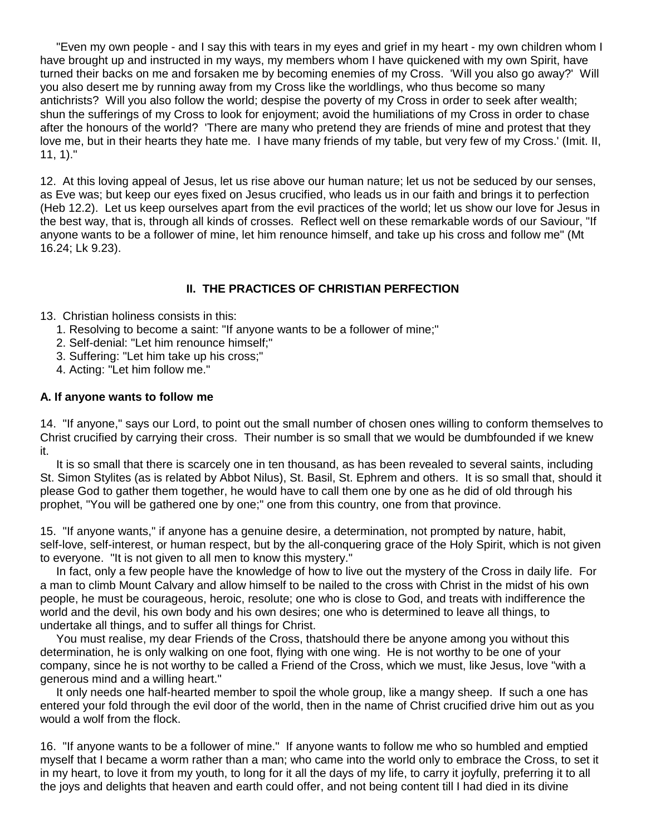"Even my own people - and I say this with tears in my eyes and grief in my heart - my own children whom I have brought up and instructed in my ways, my members whom I have quickened with my own Spirit, have turned their backs on me and forsaken me by becoming enemies of my Cross. 'Will you also go away?' Will you also desert me by running away from my Cross like the worldlings, who thus become so many antichrists? Will you also follow the world; despise the poverty of my Cross in order to seek after wealth; shun the sufferings of my Cross to look for enjoyment; avoid the humiliations of my Cross in order to chase after the honours of the world? 'There are many who pretend they are friends of mine and protest that they love me, but in their hearts they hate me. I have many friends of my table, but very few of my Cross.' (Imit. II, 11, 1)."

12. At this loving appeal of Jesus, let us rise above our human nature; let us not be seduced by our senses, as Eve was; but keep our eyes fixed on Jesus crucified, who leads us in our faith and brings it to perfection (Heb 12.2). Let us keep ourselves apart from the evil practices of the world; let us show our love for Jesus in the best way, that is, through all kinds of crosses. Reflect well on these remarkable words of our Saviour, "If anyone wants to be a follower of mine, let him renounce himself, and take up his cross and follow me" (Mt 16.24; Lk 9.23).

# **II. THE PRACTICES OF CHRISTIAN PERFECTION**

13. Christian holiness consists in this:

- 1. Resolving to become a saint: "If anyone wants to be a follower of mine;"
- 2. Self-denial: "Let him renounce himself;"
- 3. Suffering: "Let him take up his cross;"
- 4. Acting: "Let him follow me."

## **A. If anyone wants to follow me**

14. "If anyone," says our Lord, to point out the small number of chosen ones willing to conform themselves to Christ crucified by carrying their cross. Their number is so small that we would be dumbfounded if we knew it.

 It is so small that there is scarcely one in ten thousand, as has been revealed to several saints, including St. Simon Stylites (as is related by Abbot Nilus), St. Basil, St. Ephrem and others. It is so small that, should it please God to gather them together, he would have to call them one by one as he did of old through his prophet, "You will be gathered one by one;" one from this country, one from that province.

15. "If anyone wants," if anyone has a genuine desire, a determination, not prompted by nature, habit, self-love, self-interest, or human respect, but by the all-conquering grace of the Holy Spirit, which is not given to everyone. "It is not given to all men to know this mystery."

 In fact, only a few people have the knowledge of how to live out the mystery of the Cross in daily life. For a man to climb Mount Calvary and allow himself to be nailed to the cross with Christ in the midst of his own people, he must be courageous, heroic, resolute; one who is close to God, and treats with indifference the world and the devil, his own body and his own desires; one who is determined to leave all things, to undertake all things, and to suffer all things for Christ.

 You must realise, my dear Friends of the Cross, thatshould there be anyone among you without this determination, he is only walking on one foot, flying with one wing. He is not worthy to be one of your company, since he is not worthy to be called a Friend of the Cross, which we must, like Jesus, love "with a generous mind and a willing heart."

 It only needs one half-hearted member to spoil the whole group, like a mangy sheep. If such a one has entered your fold through the evil door of the world, then in the name of Christ crucified drive him out as you would a wolf from the flock.

16. "If anyone wants to be a follower of mine." If anyone wants to follow me who so humbled and emptied myself that I became a worm rather than a man; who came into the world only to embrace the Cross, to set it in my heart, to love it from my youth, to long for it all the days of my life, to carry it joyfully, preferring it to all the joys and delights that heaven and earth could offer, and not being content till I had died in its divine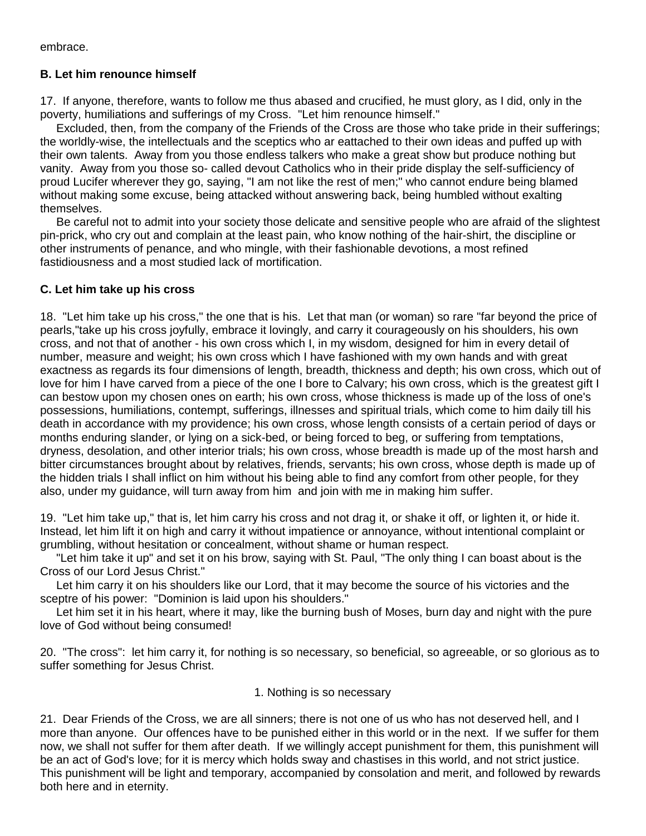embrace.

# **B. Let him renounce himself**

17. If anyone, therefore, wants to follow me thus abased and crucified, he must glory, as I did, only in the poverty, humiliations and sufferings of my Cross. "Let him renounce himself."

 Excluded, then, from the company of the Friends of the Cross are those who take pride in their sufferings; the worldly-wise, the intellectuals and the sceptics who ar eattached to their own ideas and puffed up with their own talents. Away from you those endless talkers who make a great show but produce nothing but vanity. Away from you those so- called devout Catholics who in their pride display the self-sufficiency of proud Lucifer wherever they go, saying, "I am not like the rest of men;" who cannot endure being blamed without making some excuse, being attacked without answering back, being humbled without exalting themselves.

 Be careful not to admit into your society those delicate and sensitive people who are afraid of the slightest pin-prick, who cry out and complain at the least pain, who know nothing of the hair-shirt, the discipline or other instruments of penance, and who mingle, with their fashionable devotions, a most refined fastidiousness and a most studied lack of mortification.

# **C. Let him take up his cross**

18. "Let him take up his cross," the one that is his. Let that man (or woman) so rare "far beyond the price of pearls,"take up his cross joyfully, embrace it lovingly, and carry it courageously on his shoulders, his own cross, and not that of another - his own cross which I, in my wisdom, designed for him in every detail of number, measure and weight; his own cross which I have fashioned with my own hands and with great exactness as regards its four dimensions of length, breadth, thickness and depth; his own cross, which out of love for him I have carved from a piece of the one I bore to Calvary; his own cross, which is the greatest gift I can bestow upon my chosen ones on earth; his own cross, whose thickness is made up of the loss of one's possessions, humiliations, contempt, sufferings, illnesses and spiritual trials, which come to him daily till his death in accordance with my providence; his own cross, whose length consists of a certain period of days or months enduring slander, or lying on a sick-bed, or being forced to beg, or suffering from temptations, dryness, desolation, and other interior trials; his own cross, whose breadth is made up of the most harsh and bitter circumstances brought about by relatives, friends, servants; his own cross, whose depth is made up of the hidden trials I shall inflict on him without his being able to find any comfort from other people, for they also, under my guidance, will turn away from him and join with me in making him suffer.

19. "Let him take up," that is, let him carry his cross and not drag it, or shake it off, or lighten it, or hide it. Instead, let him lift it on high and carry it without impatience or annoyance, without intentional complaint or grumbling, without hesitation or concealment, without shame or human respect.

 "Let him take it up" and set it on his brow, saying with St. Paul, "The only thing I can boast about is the Cross of our Lord Jesus Christ."

 Let him carry it on his shoulders like our Lord, that it may become the source of his victories and the sceptre of his power: "Dominion is laid upon his shoulders."

 Let him set it in his heart, where it may, like the burning bush of Moses, burn day and night with the pure love of God without being consumed!

20. "The cross": let him carry it, for nothing is so necessary, so beneficial, so agreeable, or so glorious as to suffer something for Jesus Christ.

## 1. Nothing is so necessary

21. Dear Friends of the Cross, we are all sinners; there is not one of us who has not deserved hell, and I more than anyone. Our offences have to be punished either in this world or in the next. If we suffer for them now, we shall not suffer for them after death. If we willingly accept punishment for them, this punishment will be an act of God's love; for it is mercy which holds sway and chastises in this world, and not strict justice. This punishment will be light and temporary, accompanied by consolation and merit, and followed by rewards both here and in eternity.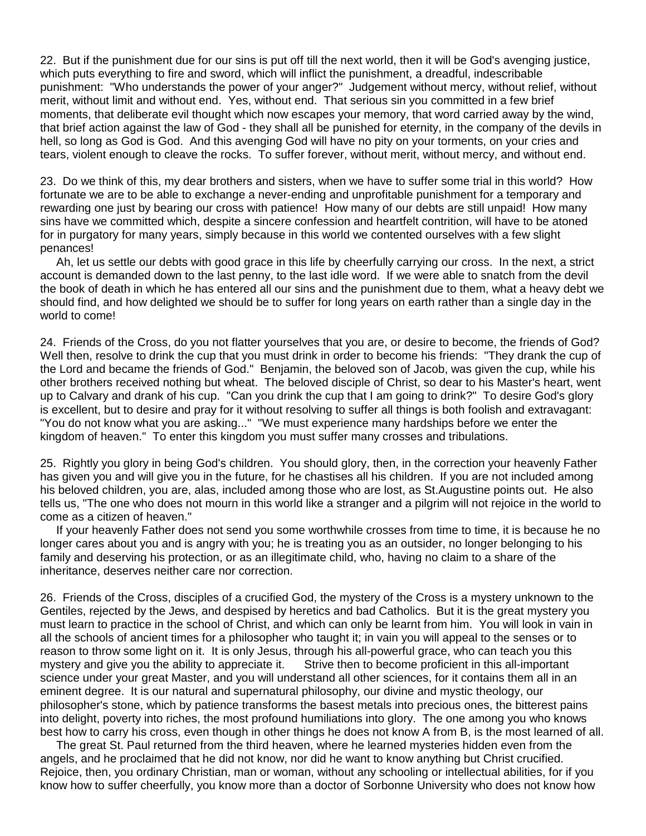22. But if the punishment due for our sins is put off till the next world, then it will be God's avenging justice, which puts everything to fire and sword, which will inflict the punishment, a dreadful, indescribable punishment: "Who understands the power of your anger?" Judgement without mercy, without relief, without merit, without limit and without end. Yes, without end. That serious sin you committed in a few brief moments, that deliberate evil thought which now escapes your memory, that word carried away by the wind, that brief action against the law of God - they shall all be punished for eternity, in the company of the devils in hell, so long as God is God. And this avenging God will have no pity on your torments, on your cries and tears, violent enough to cleave the rocks. To suffer forever, without merit, without mercy, and without end.

23. Do we think of this, my dear brothers and sisters, when we have to suffer some trial in this world? How fortunate we are to be able to exchange a never-ending and unprofitable punishment for a temporary and rewarding one just by bearing our cross with patience! How many of our debts are still unpaid! How many sins have we committed which, despite a sincere confession and heartfelt contrition, will have to be atoned for in purgatory for many years, simply because in this world we contented ourselves with a few slight penances!

 Ah, let us settle our debts with good grace in this life by cheerfully carrying our cross. In the next, a strict account is demanded down to the last penny, to the last idle word. If we were able to snatch from the devil the book of death in which he has entered all our sins and the punishment due to them, what a heavy debt we should find, and how delighted we should be to suffer for long years on earth rather than a single day in the world to come!

24. Friends of the Cross, do you not flatter yourselves that you are, or desire to become, the friends of God? Well then, resolve to drink the cup that you must drink in order to become his friends: "They drank the cup of the Lord and became the friends of God." Benjamin, the beloved son of Jacob, was given the cup, while his other brothers received nothing but wheat. The beloved disciple of Christ, so dear to his Master's heart, went up to Calvary and drank of his cup. "Can you drink the cup that I am going to drink?" To desire God's glory is excellent, but to desire and pray for it without resolving to suffer all things is both foolish and extravagant: "You do not know what you are asking..." "We must experience many hardships before we enter the kingdom of heaven." To enter this kingdom you must suffer many crosses and tribulations.

25. Rightly you glory in being God's children. You should glory, then, in the correction your heavenly Father has given you and will give you in the future, for he chastises all his children. If you are not included among his beloved children, you are, alas, included among those who are lost, as St.Augustine points out. He also tells us, "The one who does not mourn in this world like a stranger and a pilgrim will not rejoice in the world to come as a citizen of heaven."

 If your heavenly Father does not send you some worthwhile crosses from time to time, it is because he no longer cares about you and is angry with you; he is treating you as an outsider, no longer belonging to his family and deserving his protection, or as an illegitimate child, who, having no claim to a share of the inheritance, deserves neither care nor correction.

26. Friends of the Cross, disciples of a crucified God, the mystery of the Cross is a mystery unknown to the Gentiles, rejected by the Jews, and despised by heretics and bad Catholics. But it is the great mystery you must learn to practice in the school of Christ, and which can only be learnt from him. You will look in vain in all the schools of ancient times for a philosopher who taught it; in vain you will appeal to the senses or to reason to throw some light on it. It is only Jesus, through his all-powerful grace, who can teach you this mystery and give you the ability to appreciate it. Strive then to become proficient in this all-important science under your great Master, and you will understand all other sciences, for it contains them all in an eminent degree. It is our natural and supernatural philosophy, our divine and mystic theology, our philosopher's stone, which by patience transforms the basest metals into precious ones, the bitterest pains into delight, poverty into riches, the most profound humiliations into glory. The one among you who knows best how to carry his cross, even though in other things he does not know A from B, is the most learned of all.

 The great St. Paul returned from the third heaven, where he learned mysteries hidden even from the angels, and he proclaimed that he did not know, nor did he want to know anything but Christ crucified. Rejoice, then, you ordinary Christian, man or woman, without any schooling or intellectual abilities, for if you know how to suffer cheerfully, you know more than a doctor of Sorbonne University who does not know how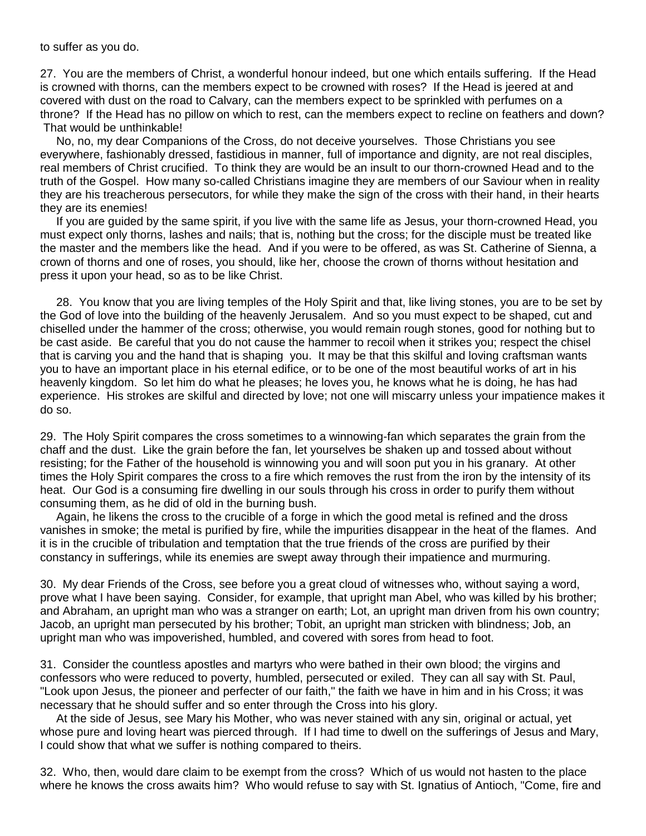to suffer as you do.

27. You are the members of Christ, a wonderful honour indeed, but one which entails suffering. If the Head is crowned with thorns, can the members expect to be crowned with roses? If the Head is jeered at and covered with dust on the road to Calvary, can the members expect to be sprinkled with perfumes on a throne? If the Head has no pillow on which to rest, can the members expect to recline on feathers and down? That would be unthinkable!

 No, no, my dear Companions of the Cross, do not deceive yourselves. Those Christians you see everywhere, fashionably dressed, fastidious in manner, full of importance and dignity, are not real disciples, real members of Christ crucified. To think they are would be an insult to our thorn-crowned Head and to the truth of the Gospel. How many so-called Christians imagine they are members of our Saviour when in reality they are his treacherous persecutors, for while they make the sign of the cross with their hand, in their hearts they are its enemies!

 If you are guided by the same spirit, if you live with the same life as Jesus, your thorn-crowned Head, you must expect only thorns, lashes and nails; that is, nothing but the cross; for the disciple must be treated like the master and the members like the head. And if you were to be offered, as was St. Catherine of Sienna, a crown of thorns and one of roses, you should, like her, choose the crown of thorns without hesitation and press it upon your head, so as to be like Christ.

 28. You know that you are living temples of the Holy Spirit and that, like living stones, you are to be set by the God of love into the building of the heavenly Jerusalem. And so you must expect to be shaped, cut and chiselled under the hammer of the cross; otherwise, you would remain rough stones, good for nothing but to be cast aside. Be careful that you do not cause the hammer to recoil when it strikes you; respect the chisel that is carving you and the hand that is shaping you. It may be that this skilful and loving craftsman wants you to have an important place in his eternal edifice, or to be one of the most beautiful works of art in his heavenly kingdom. So let him do what he pleases; he loves you, he knows what he is doing, he has had experience. His strokes are skilful and directed by love; not one will miscarry unless your impatience makes it do so.

29. The Holy Spirit compares the cross sometimes to a winnowing-fan which separates the grain from the chaff and the dust. Like the grain before the fan, let yourselves be shaken up and tossed about without resisting; for the Father of the household is winnowing you and will soon put you in his granary. At other times the Holy Spirit compares the cross to a fire which removes the rust from the iron by the intensity of its heat. Our God is a consuming fire dwelling in our souls through his cross in order to purify them without consuming them, as he did of old in the burning bush.

 Again, he likens the cross to the crucible of a forge in which the good metal is refined and the dross vanishes in smoke; the metal is purified by fire, while the impurities disappear in the heat of the flames. And it is in the crucible of tribulation and temptation that the true friends of the cross are purified by their constancy in sufferings, while its enemies are swept away through their impatience and murmuring.

30. My dear Friends of the Cross, see before you a great cloud of witnesses who, without saying a word, prove what I have been saying. Consider, for example, that upright man Abel, who was killed by his brother; and Abraham, an upright man who was a stranger on earth; Lot, an upright man driven from his own country; Jacob, an upright man persecuted by his brother; Tobit, an upright man stricken with blindness; Job, an upright man who was impoverished, humbled, and covered with sores from head to foot.

31. Consider the countless apostles and martyrs who were bathed in their own blood; the virgins and confessors who were reduced to poverty, humbled, persecuted or exiled. They can all say with St. Paul, "Look upon Jesus, the pioneer and perfecter of our faith," the faith we have in him and in his Cross; it was necessary that he should suffer and so enter through the Cross into his glory.

 At the side of Jesus, see Mary his Mother, who was never stained with any sin, original or actual, yet whose pure and loving heart was pierced through. If I had time to dwell on the sufferings of Jesus and Mary, I could show that what we suffer is nothing compared to theirs.

32. Who, then, would dare claim to be exempt from the cross? Which of us would not hasten to the place where he knows the cross awaits him? Who would refuse to say with St. Ignatius of Antioch, "Come, fire and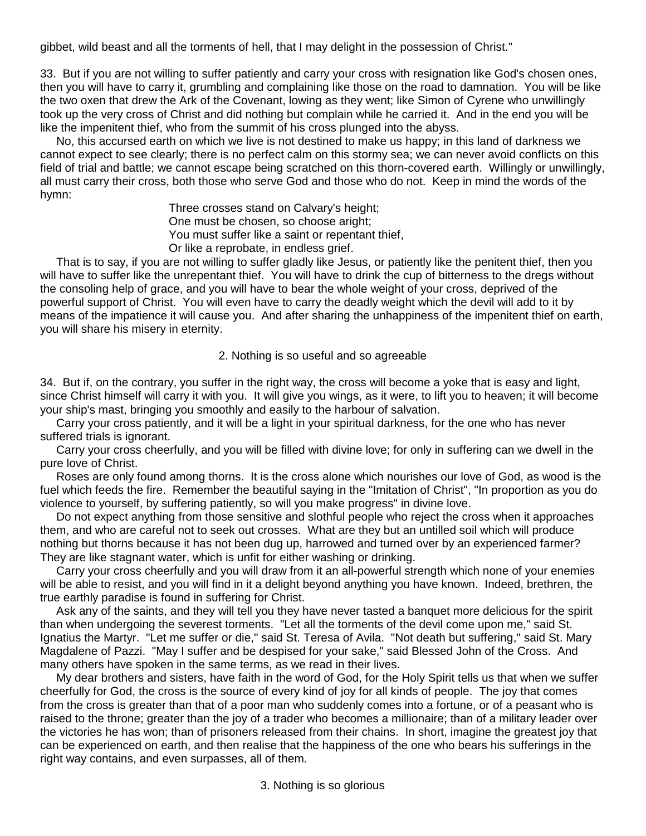gibbet, wild beast and all the torments of hell, that I may delight in the possession of Christ."

33. But if you are not willing to suffer patiently and carry your cross with resignation like God's chosen ones, then you will have to carry it, grumbling and complaining like those on the road to damnation. You will be like the two oxen that drew the Ark of the Covenant, lowing as they went; like Simon of Cyrene who unwillingly took up the very cross of Christ and did nothing but complain while he carried it. And in the end you will be like the impenitent thief, who from the summit of his cross plunged into the abyss.

 No, this accursed earth on which we live is not destined to make us happy; in this land of darkness we cannot expect to see clearly; there is no perfect calm on this stormy sea; we can never avoid conflicts on this field of trial and battle; we cannot escape being scratched on this thorn-covered earth. Willingly or unwillingly, all must carry their cross, both those who serve God and those who do not. Keep in mind the words of the hymn:

> Three crosses stand on Calvary's height; One must be chosen, so choose aright; You must suffer like a saint or repentant thief, Or like a reprobate, in endless grief.

 That is to say, if you are not willing to suffer gladly like Jesus, or patiently like the penitent thief, then you will have to suffer like the unrepentant thief. You will have to drink the cup of bitterness to the dregs without the consoling help of grace, and you will have to bear the whole weight of your cross, deprived of the powerful support of Christ. You will even have to carry the deadly weight which the devil will add to it by means of the impatience it will cause you. And after sharing the unhappiness of the impenitent thief on earth, you will share his misery in eternity.

2. Nothing is so useful and so agreeable

34. But if, on the contrary, you suffer in the right way, the cross will become a yoke that is easy and light, since Christ himself will carry it with you. It will give you wings, as it were, to lift you to heaven; it will become your ship's mast, bringing you smoothly and easily to the harbour of salvation.

 Carry your cross patiently, and it will be a light in your spiritual darkness, for the one who has never suffered trials is ignorant.

 Carry your cross cheerfully, and you will be filled with divine love; for only in suffering can we dwell in the pure love of Christ.

 Roses are only found among thorns. It is the cross alone which nourishes our love of God, as wood is the fuel which feeds the fire. Remember the beautiful saying in the "Imitation of Christ", "In proportion as you do violence to yourself, by suffering patiently, so will you make progress" in divine love.

 Do not expect anything from those sensitive and slothful people who reject the cross when it approaches them, and who are careful not to seek out crosses. What are they but an untilled soil which will produce nothing but thorns because it has not been dug up, harrowed and turned over by an experienced farmer? They are like stagnant water, which is unfit for either washing or drinking.

 Carry your cross cheerfully and you will draw from it an all-powerful strength which none of your enemies will be able to resist, and you will find in it a delight beyond anything you have known. Indeed, brethren, the true earthly paradise is found in suffering for Christ.

 Ask any of the saints, and they will tell you they have never tasted a banquet more delicious for the spirit than when undergoing the severest torments. "Let all the torments of the devil come upon me," said St. Ignatius the Martyr. "Let me suffer or die," said St. Teresa of Avila. "Not death but suffering," said St. Mary Magdalene of Pazzi. "May I suffer and be despised for your sake," said Blessed John of the Cross. And many others have spoken in the same terms, as we read in their lives.

 My dear brothers and sisters, have faith in the word of God, for the Holy Spirit tells us that when we suffer cheerfully for God, the cross is the source of every kind of joy for all kinds of people. The joy that comes from the cross is greater than that of a poor man who suddenly comes into a fortune, or of a peasant who is raised to the throne; greater than the joy of a trader who becomes a millionaire; than of a military leader over the victories he has won; than of prisoners released from their chains. In short, imagine the greatest joy that can be experienced on earth, and then realise that the happiness of the one who bears his sufferings in the right way contains, and even surpasses, all of them.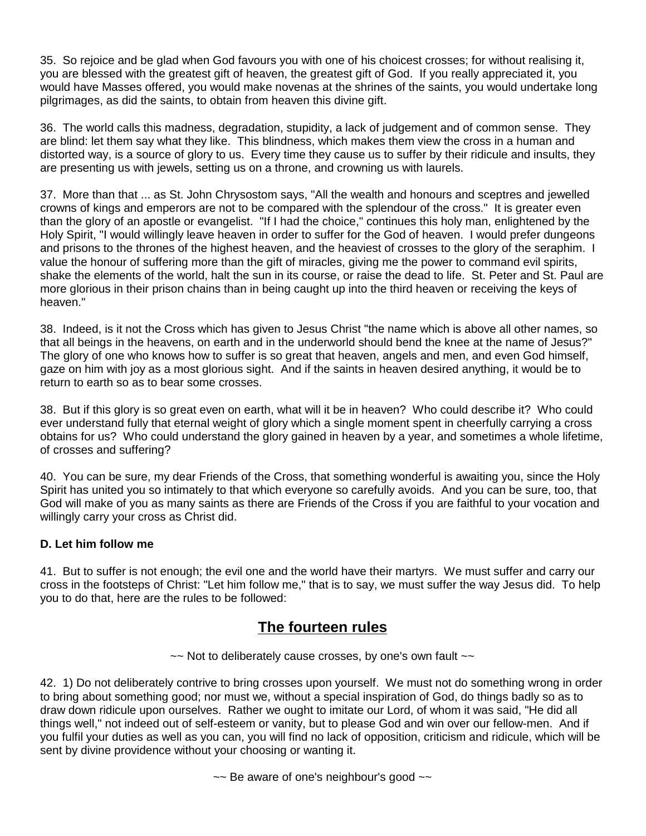35. So rejoice and be glad when God favours you with one of his choicest crosses; for without realising it, you are blessed with the greatest gift of heaven, the greatest gift of God. If you really appreciated it, you would have Masses offered, you would make novenas at the shrines of the saints, you would undertake long pilgrimages, as did the saints, to obtain from heaven this divine gift.

36. The world calls this madness, degradation, stupidity, a lack of judgement and of common sense. They are blind: let them say what they like. This blindness, which makes them view the cross in a human and distorted way, is a source of glory to us. Every time they cause us to suffer by their ridicule and insults, they are presenting us with jewels, setting us on a throne, and crowning us with laurels.

37. More than that ... as St. John Chrysostom says, "All the wealth and honours and sceptres and jewelled crowns of kings and emperors are not to be compared with the splendour of the cross." It is greater even than the glory of an apostle or evangelist. "If I had the choice," continues this holy man, enlightened by the Holy Spirit, "I would willingly leave heaven in order to suffer for the God of heaven. I would prefer dungeons and prisons to the thrones of the highest heaven, and the heaviest of crosses to the glory of the seraphim. I value the honour of suffering more than the gift of miracles, giving me the power to command evil spirits, shake the elements of the world, halt the sun in its course, or raise the dead to life. St. Peter and St. Paul are more glorious in their prison chains than in being caught up into the third heaven or receiving the keys of heaven."

38. Indeed, is it not the Cross which has given to Jesus Christ "the name which is above all other names, so that all beings in the heavens, on earth and in the underworld should bend the knee at the name of Jesus?" The glory of one who knows how to suffer is so great that heaven, angels and men, and even God himself, gaze on him with joy as a most glorious sight. And if the saints in heaven desired anything, it would be to return to earth so as to bear some crosses.

38. But if this glory is so great even on earth, what will it be in heaven? Who could describe it? Who could ever understand fully that eternal weight of glory which a single moment spent in cheerfully carrying a cross obtains for us? Who could understand the glory gained in heaven by a year, and sometimes a whole lifetime, of crosses and suffering?

40. You can be sure, my dear Friends of the Cross, that something wonderful is awaiting you, since the Holy Spirit has united you so intimately to that which everyone so carefully avoids. And you can be sure, too, that God will make of you as many saints as there are Friends of the Cross if you are faithful to your vocation and willingly carry your cross as Christ did.

## **D. Let him follow me**

41. But to suffer is not enough; the evil one and the world have their martyrs. We must suffer and carry our cross in the footsteps of Christ: "Let him follow me," that is to say, we must suffer the way Jesus did. To help you to do that, here are the rules to be followed:

# **The fourteen rules**

~~ Not to deliberately cause crosses, by one's own fault ~~

42. 1) Do not deliberately contrive to bring crosses upon yourself. We must not do something wrong in order to bring about something good; nor must we, without a special inspiration of God, do things badly so as to draw down ridicule upon ourselves. Rather we ought to imitate our Lord, of whom it was said, "He did all things well," not indeed out of self-esteem or vanity, but to please God and win over our fellow-men. And if you fulfil your duties as well as you can, you will find no lack of opposition, criticism and ridicule, which will be sent by divine providence without your choosing or wanting it.

~~ Be aware of one's neighbour's good ~~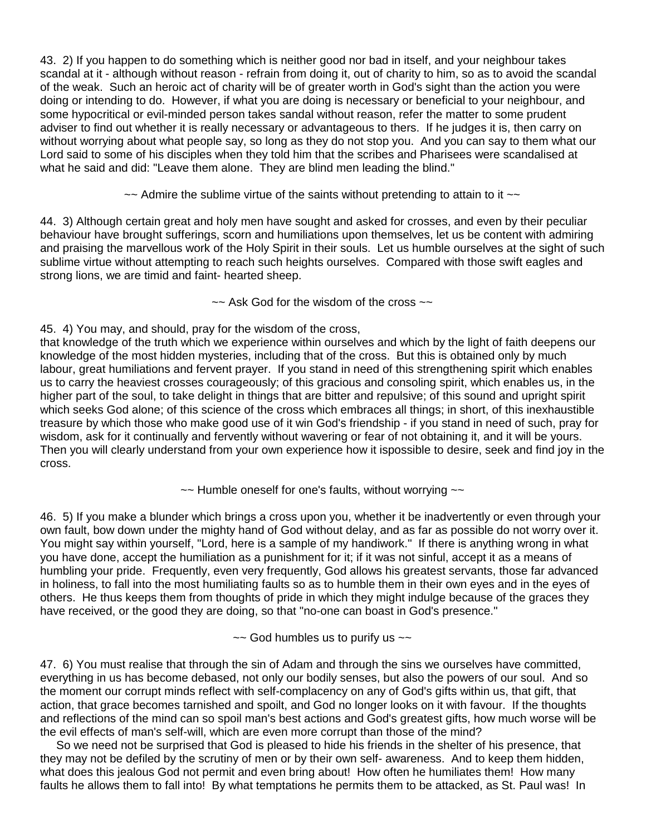43. 2) If you happen to do something which is neither good nor bad in itself, and your neighbour takes scandal at it - although without reason - refrain from doing it, out of charity to him, so as to avoid the scandal of the weak. Such an heroic act of charity will be of greater worth in God's sight than the action you were doing or intending to do. However, if what you are doing is necessary or beneficial to your neighbour, and some hypocritical or evil-minded person takes sandal without reason, refer the matter to some prudent adviser to find out whether it is really necessary or advantageous to thers. If he judges it is, then carry on without worrying about what people say, so long as they do not stop you. And you can say to them what our Lord said to some of his disciples when they told him that the scribes and Pharisees were scandalised at what he said and did: "Leave them alone. They are blind men leading the blind."

 $\sim$  Admire the sublime virtue of the saints without pretending to attain to it  $\sim$ 

44. 3) Although certain great and holy men have sought and asked for crosses, and even by their peculiar behaviour have brought sufferings, scorn and humiliations upon themselves, let us be content with admiring and praising the marvellous work of the Holy Spirit in their souls. Let us humble ourselves at the sight of such sublime virtue without attempting to reach such heights ourselves. Compared with those swift eagles and strong lions, we are timid and faint- hearted sheep.

 $\sim$  Ask God for the wisdom of the cross  $\sim$ 

45. 4) You may, and should, pray for the wisdom of the cross,

that knowledge of the truth which we experience within ourselves and which by the light of faith deepens our knowledge of the most hidden mysteries, including that of the cross. But this is obtained only by much labour, great humiliations and fervent prayer. If you stand in need of this strengthening spirit which enables us to carry the heaviest crosses courageously; of this gracious and consoling spirit, which enables us, in the higher part of the soul, to take delight in things that are bitter and repulsive; of this sound and upright spirit which seeks God alone; of this science of the cross which embraces all things; in short, of this inexhaustible treasure by which those who make good use of it win God's friendship - if you stand in need of such, pray for wisdom, ask for it continually and fervently without wavering or fear of not obtaining it, and it will be yours. Then you will clearly understand from your own experience how it ispossible to desire, seek and find joy in the cross.

 $\sim$  Humble oneself for one's faults, without worrying  $\sim$ 

46. 5) If you make a blunder which brings a cross upon you, whether it be inadvertently or even through your own fault, bow down under the mighty hand of God without delay, and as far as possible do not worry over it. You might say within yourself, "Lord, here is a sample of my handiwork." If there is anything wrong in what you have done, accept the humiliation as a punishment for it; if it was not sinful, accept it as a means of humbling your pride. Frequently, even very frequently, God allows his greatest servants, those far advanced in holiness, to fall into the most humiliating faults so as to humble them in their own eyes and in the eyes of others. He thus keeps them from thoughts of pride in which they might indulge because of the graces they have received, or the good they are doing, so that "no-one can boast in God's presence."

 $\sim$  God humbles us to purify us  $\sim$ 

47. 6) You must realise that through the sin of Adam and through the sins we ourselves have committed, everything in us has become debased, not only our bodily senses, but also the powers of our soul. And so the moment our corrupt minds reflect with self-complacency on any of God's gifts within us, that gift, that action, that grace becomes tarnished and spoilt, and God no longer looks on it with favour. If the thoughts and reflections of the mind can so spoil man's best actions and God's greatest gifts, how much worse will be the evil effects of man's self-will, which are even more corrupt than those of the mind?

 So we need not be surprised that God is pleased to hide his friends in the shelter of his presence, that they may not be defiled by the scrutiny of men or by their own self- awareness. And to keep them hidden, what does this jealous God not permit and even bring about! How often he humiliates them! How many faults he allows them to fall into! By what temptations he permits them to be attacked, as St. Paul was! In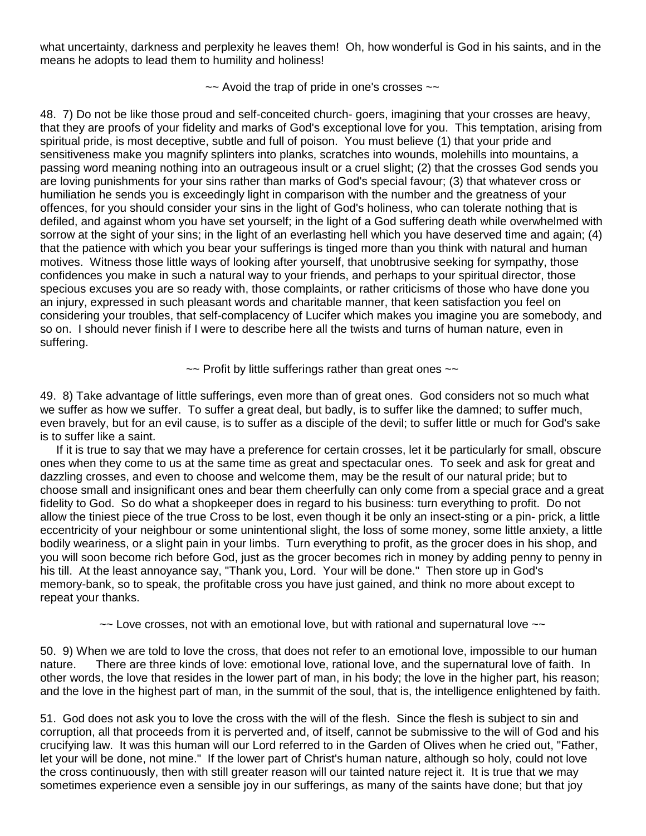what uncertainty, darkness and perplexity he leaves them! Oh, how wonderful is God in his saints, and in the means he adopts to lead them to humility and holiness!

 $\sim$  Avoid the trap of pride in one's crosses  $\sim$ 

48. 7) Do not be like those proud and self-conceited church- goers, imagining that your crosses are heavy, that they are proofs of your fidelity and marks of God's exceptional love for you. This temptation, arising from spiritual pride, is most deceptive, subtle and full of poison. You must believe (1) that your pride and sensitiveness make you magnify splinters into planks, scratches into wounds, molehills into mountains, a passing word meaning nothing into an outrageous insult or a cruel slight; (2) that the crosses God sends you are loving punishments for your sins rather than marks of God's special favour; (3) that whatever cross or humiliation he sends you is exceedingly light in comparison with the number and the greatness of your offences, for you should consider your sins in the light of God's holiness, who can tolerate nothing that is defiled, and against whom you have set yourself; in the light of a God suffering death while overwhelmed with sorrow at the sight of your sins; in the light of an everlasting hell which you have deserved time and again; (4) that the patience with which you bear your sufferings is tinged more than you think with natural and human motives. Witness those little ways of looking after yourself, that unobtrusive seeking for sympathy, those confidences you make in such a natural way to your friends, and perhaps to your spiritual director, those specious excuses you are so ready with, those complaints, or rather criticisms of those who have done you an injury, expressed in such pleasant words and charitable manner, that keen satisfaction you feel on considering your troubles, that self-complacency of Lucifer which makes you imagine you are somebody, and so on. I should never finish if I were to describe here all the twists and turns of human nature, even in suffering.

 $\sim$  Profit by little sufferings rather than great ones  $\sim$ 

49. 8) Take advantage of little sufferings, even more than of great ones. God considers not so much what we suffer as how we suffer. To suffer a great deal, but badly, is to suffer like the damned; to suffer much, even bravely, but for an evil cause, is to suffer as a disciple of the devil; to suffer little or much for God's sake is to suffer like a saint.

 If it is true to say that we may have a preference for certain crosses, let it be particularly for small, obscure ones when they come to us at the same time as great and spectacular ones. To seek and ask for great and dazzling crosses, and even to choose and welcome them, may be the result of our natural pride; but to choose small and insignificant ones and bear them cheerfully can only come from a special grace and a great fidelity to God. So do what a shopkeeper does in regard to his business: turn everything to profit. Do not allow the tiniest piece of the true Cross to be lost, even though it be only an insect-sting or a pin- prick, a little eccentricity of your neighbour or some unintentional slight, the loss of some money, some little anxiety, a little bodily weariness, or a slight pain in your limbs. Turn everything to profit, as the grocer does in his shop, and you will soon become rich before God, just as the grocer becomes rich in money by adding penny to penny in his till. At the least annoyance say, "Thank you, Lord. Your will be done." Then store up in God's memory-bank, so to speak, the profitable cross you have just gained, and think no more about except to repeat your thanks.

 $\sim$  Love crosses, not with an emotional love, but with rational and supernatural love  $\sim$ 

50. 9) When we are told to love the cross, that does not refer to an emotional love, impossible to our human nature. There are three kinds of love: emotional love, rational love, and the supernatural love of faith. In other words, the love that resides in the lower part of man, in his body; the love in the higher part, his reason; and the love in the highest part of man, in the summit of the soul, that is, the intelligence enlightened by faith.

51. God does not ask you to love the cross with the will of the flesh. Since the flesh is subject to sin and corruption, all that proceeds from it is perverted and, of itself, cannot be submissive to the will of God and his crucifying law. It was this human will our Lord referred to in the Garden of Olives when he cried out, "Father, let your will be done, not mine." If the lower part of Christ's human nature, although so holy, could not love the cross continuously, then with still greater reason will our tainted nature reject it. It is true that we may sometimes experience even a sensible joy in our sufferings, as many of the saints have done; but that joy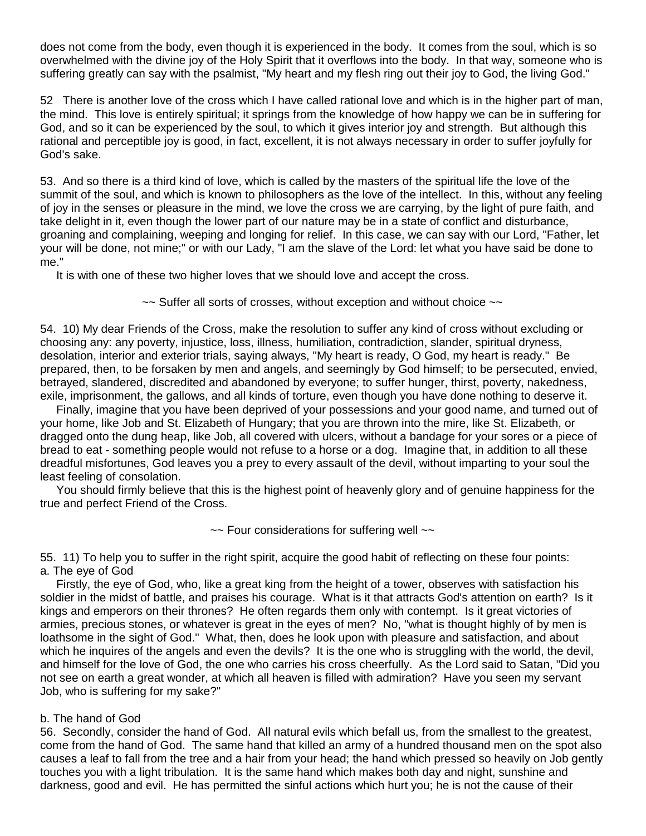does not come from the body, even though it is experienced in the body. It comes from the soul, which is so overwhelmed with the divine joy of the Holy Spirit that it overflows into the body. In that way, someone who is suffering greatly can say with the psalmist, "My heart and my flesh ring out their joy to God, the living God."

52 There is another love of the cross which I have called rational love and which is in the higher part of man, the mind. This love is entirely spiritual; it springs from the knowledge of how happy we can be in suffering for God, and so it can be experienced by the soul, to which it gives interior joy and strength. But although this rational and perceptible joy is good, in fact, excellent, it is not always necessary in order to suffer joyfully for God's sake.

53. And so there is a third kind of love, which is called by the masters of the spiritual life the love of the summit of the soul, and which is known to philosophers as the love of the intellect. In this, without any feeling of joy in the senses or pleasure in the mind, we love the cross we are carrying, by the light of pure faith, and take delight in it, even though the lower part of our nature may be in a state of conflict and disturbance, groaning and complaining, weeping and longing for relief. In this case, we can say with our Lord, "Father, let your will be done, not mine;" or with our Lady, "I am the slave of the Lord: let what you have said be done to me."

It is with one of these two higher loves that we should love and accept the cross.

 $\sim$  Suffer all sorts of crosses, without exception and without choice  $\sim$ 

54. 10) My dear Friends of the Cross, make the resolution to suffer any kind of cross without excluding or choosing any: any poverty, injustice, loss, illness, humiliation, contradiction, slander, spiritual dryness, desolation, interior and exterior trials, saying always, "My heart is ready, O God, my heart is ready." Be prepared, then, to be forsaken by men and angels, and seemingly by God himself; to be persecuted, envied, betrayed, slandered, discredited and abandoned by everyone; to suffer hunger, thirst, poverty, nakedness, exile, imprisonment, the gallows, and all kinds of torture, even though you have done nothing to deserve it.

 Finally, imagine that you have been deprived of your possessions and your good name, and turned out of your home, like Job and St. Elizabeth of Hungary; that you are thrown into the mire, like St. Elizabeth, or dragged onto the dung heap, like Job, all covered with ulcers, without a bandage for your sores or a piece of bread to eat - something people would not refuse to a horse or a dog. Imagine that, in addition to all these dreadful misfortunes, God leaves you a prey to every assault of the devil, without imparting to your soul the least feeling of consolation.

 You should firmly believe that this is the highest point of heavenly glory and of genuine happiness for the true and perfect Friend of the Cross.

 $\sim$  Four considerations for suffering well  $\sim$ 

55. 11) To help you to suffer in the right spirit, acquire the good habit of reflecting on these four points: a. The eye of God

 Firstly, the eye of God, who, like a great king from the height of a tower, observes with satisfaction his soldier in the midst of battle, and praises his courage. What is it that attracts God's attention on earth? Is it kings and emperors on their thrones? He often regards them only with contempt. Is it great victories of armies, precious stones, or whatever is great in the eyes of men? No, "what is thought highly of by men is loathsome in the sight of God." What, then, does he look upon with pleasure and satisfaction, and about which he inquires of the angels and even the devils? It is the one who is struggling with the world, the devil, and himself for the love of God, the one who carries his cross cheerfully. As the Lord said to Satan, "Did you not see on earth a great wonder, at which all heaven is filled with admiration? Have you seen my servant Job, who is suffering for my sake?"

## b. The hand of God

56. Secondly, consider the hand of God. All natural evils which befall us, from the smallest to the greatest, come from the hand of God. The same hand that killed an army of a hundred thousand men on the spot also causes a leaf to fall from the tree and a hair from your head; the hand which pressed so heavily on Job gently touches you with a light tribulation. It is the same hand which makes both day and night, sunshine and darkness, good and evil. He has permitted the sinful actions which hurt you; he is not the cause of their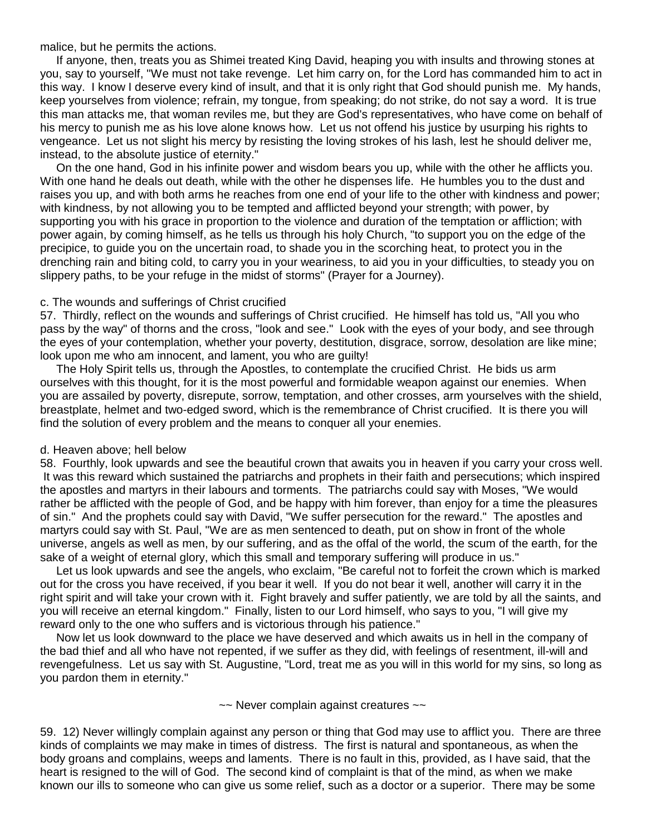malice, but he permits the actions.

 If anyone, then, treats you as Shimei treated King David, heaping you with insults and throwing stones at you, say to yourself, "We must not take revenge. Let him carry on, for the Lord has commanded him to act in this way. I know I deserve every kind of insult, and that it is only right that God should punish me. My hands, keep yourselves from violence; refrain, my tongue, from speaking; do not strike, do not say a word. It is true this man attacks me, that woman reviles me, but they are God's representatives, who have come on behalf of his mercy to punish me as his love alone knows how. Let us not offend his justice by usurping his rights to vengeance. Let us not slight his mercy by resisting the loving strokes of his lash, lest he should deliver me, instead, to the absolute justice of eternity."

 On the one hand, God in his infinite power and wisdom bears you up, while with the other he afflicts you. With one hand he deals out death, while with the other he dispenses life. He humbles you to the dust and raises you up, and with both arms he reaches from one end of your life to the other with kindness and power; with kindness, by not allowing you to be tempted and afflicted beyond your strength; with power, by supporting you with his grace in proportion to the violence and duration of the temptation or affliction; with power again, by coming himself, as he tells us through his holy Church, "to support you on the edge of the precipice, to guide you on the uncertain road, to shade you in the scorching heat, to protect you in the drenching rain and biting cold, to carry you in your weariness, to aid you in your difficulties, to steady you on slippery paths, to be your refuge in the midst of storms" (Prayer for a Journey).

#### c. The wounds and sufferings of Christ crucified

57. Thirdly, reflect on the wounds and sufferings of Christ crucified. He himself has told us, "All you who pass by the way" of thorns and the cross, "look and see." Look with the eyes of your body, and see through the eyes of your contemplation, whether your poverty, destitution, disgrace, sorrow, desolation are like mine; look upon me who am innocent, and lament, you who are guilty!

 The Holy Spirit tells us, through the Apostles, to contemplate the crucified Christ. He bids us arm ourselves with this thought, for it is the most powerful and formidable weapon against our enemies. When you are assailed by poverty, disrepute, sorrow, temptation, and other crosses, arm yourselves with the shield, breastplate, helmet and two-edged sword, which is the remembrance of Christ crucified. It is there you will find the solution of every problem and the means to conquer all your enemies.

#### d. Heaven above; hell below

58. Fourthly, look upwards and see the beautiful crown that awaits you in heaven if you carry your cross well. It was this reward which sustained the patriarchs and prophets in their faith and persecutions; which inspired the apostles and martyrs in their labours and torments. The patriarchs could say with Moses, "We would rather be afflicted with the people of God, and be happy with him forever, than enjoy for a time the pleasures of sin." And the prophets could say with David, "We suffer persecution for the reward." The apostles and martyrs could say with St. Paul, "We are as men sentenced to death, put on show in front of the whole universe, angels as well as men, by our suffering, and as the offal of the world, the scum of the earth, for the sake of a weight of eternal glory, which this small and temporary suffering will produce in us."

 Let us look upwards and see the angels, who exclaim, "Be careful not to forfeit the crown which is marked out for the cross you have received, if you bear it well. If you do not bear it well, another will carry it in the right spirit and will take your crown with it. Fight bravely and suffer patiently, we are told by all the saints, and you will receive an eternal kingdom." Finally, listen to our Lord himself, who says to you, "I will give my reward only to the one who suffers and is victorious through his patience."

 Now let us look downward to the place we have deserved and which awaits us in hell in the company of the bad thief and all who have not repented, if we suffer as they did, with feelings of resentment, ill-will and revengefulness. Let us say with St. Augustine, "Lord, treat me as you will in this world for my sins, so long as you pardon them in eternity."

 $\sim$  Never complain against creatures  $\sim$ 

59. 12) Never willingly complain against any person or thing that God may use to afflict you. There are three kinds of complaints we may make in times of distress. The first is natural and spontaneous, as when the body groans and complains, weeps and laments. There is no fault in this, provided, as I have said, that the heart is resigned to the will of God. The second kind of complaint is that of the mind, as when we make known our ills to someone who can give us some relief, such as a doctor or a superior. There may be some